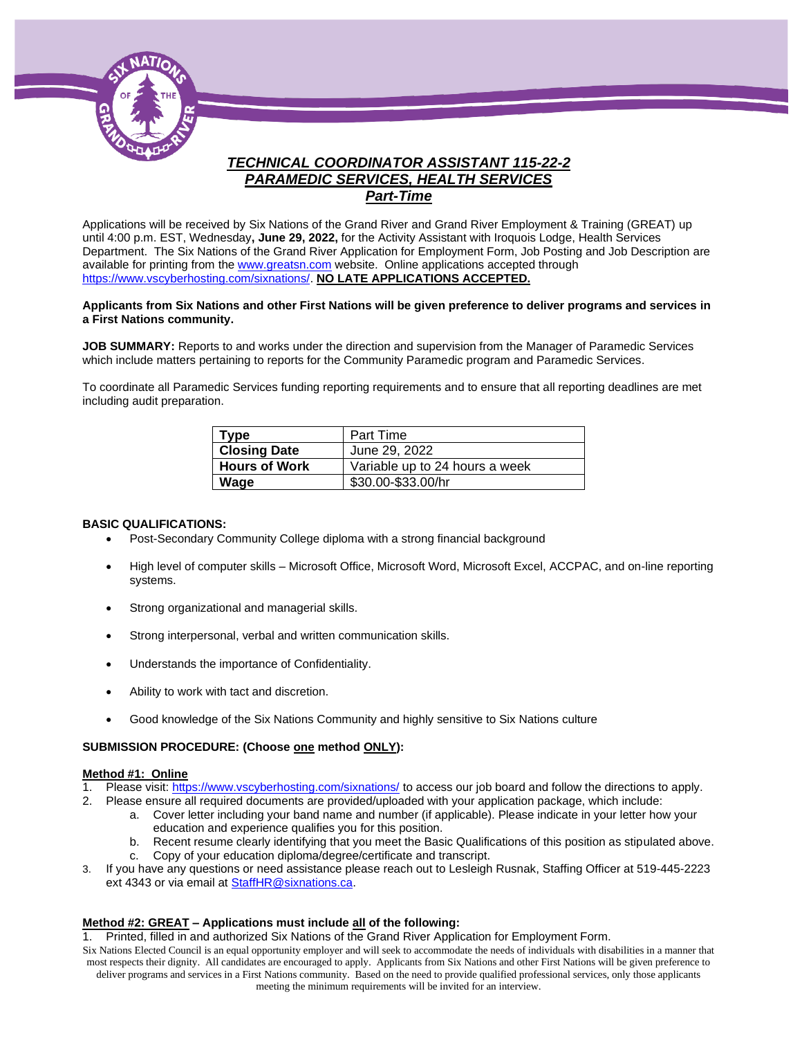

# *TECHNICAL COORDINATOR ASSISTANT 115-22-2 PARAMEDIC SERVICES, HEALTH SERVICES Part-Time*

Applications will be received by Six Nations of the Grand River and Grand River Employment & Training (GREAT) up until 4:00 p.m. EST, Wednesday**, June 29, 2022,** for the Activity Assistant with Iroquois Lodge, Health Services Department. The Six Nations of the Grand River Application for Employment Form, Job Posting and Job Description are available for printing from th[e www.greatsn.com](http://www.greatsn.com/) website. Online applications accepted through [https://www.vscyberhosting.com/sixnations/.](https://www.vscyberhosting.com/sixnations/) **NO LATE APPLICATIONS ACCEPTED.**

#### **Applicants from Six Nations and other First Nations will be given preference to deliver programs and services in a First Nations community.**

**JOB SUMMARY:** Reports to and works under the direction and supervision from the Manager of Paramedic Services which include matters pertaining to reports for the Community Paramedic program and Paramedic Services.

To coordinate all Paramedic Services funding reporting requirements and to ensure that all reporting deadlines are met including audit preparation.

| <b>Type</b>          | Part Time                      |
|----------------------|--------------------------------|
| <b>Closing Date</b>  | June 29, 2022                  |
| <b>Hours of Work</b> | Variable up to 24 hours a week |
| Wage                 | \$30.00-\$33.00/hr             |

#### **BASIC QUALIFICATIONS:**

- Post-Secondary Community College diploma with a strong financial background
- High level of computer skills Microsoft Office, Microsoft Word, Microsoft Excel, ACCPAC, and on-line reporting systems.
- Strong organizational and managerial skills.
- Strong interpersonal, verbal and written communication skills.
- Understands the importance of Confidentiality.
- Ability to work with tact and discretion.
- Good knowledge of the Six Nations Community and highly sensitive to Six Nations culture

#### **SUBMISSION PROCEDURE: (Choose one method ONLY):**

#### **Method #1: Online**

- 1. Please visit[: https://www.vscyberhosting.com/sixnations/](https://www.vscyberhosting.com/sixnations/) to access our job board and follow the directions to apply.
- 2. Please ensure all required documents are provided/uploaded with your application package, which include:
	- a. Cover letter including your band name and number (if applicable). Please indicate in your letter how your education and experience qualifies you for this position.
	- b. Recent resume clearly identifying that you meet the Basic Qualifications of this position as stipulated above.
	- c. Copy of your education diploma/degree/certificate and transcript.
- 3. If you have any questions or need assistance please reach out to Lesleigh Rusnak, Staffing Officer at 519-445-2223 ext 4343 or via email a[t StaffHR@sixnations.ca.](mailto:StaffHR@sixnations.ca)

#### **Method #2: GREAT – Applications must include all of the following:**

1. Printed, filled in and authorized Six Nations of the Grand River Application for Employment Form.

Six Nations Elected Council is an equal opportunity employer and will seek to accommodate the needs of individuals with disabilities in a manner that most respects their dignity. All candidates are encouraged to apply. Applicants from Six Nations and other First Nations will be given preference to deliver programs and services in a First Nations community. Based on the need to provide qualified professional services, only those applicants meeting the minimum requirements will be invited for an interview.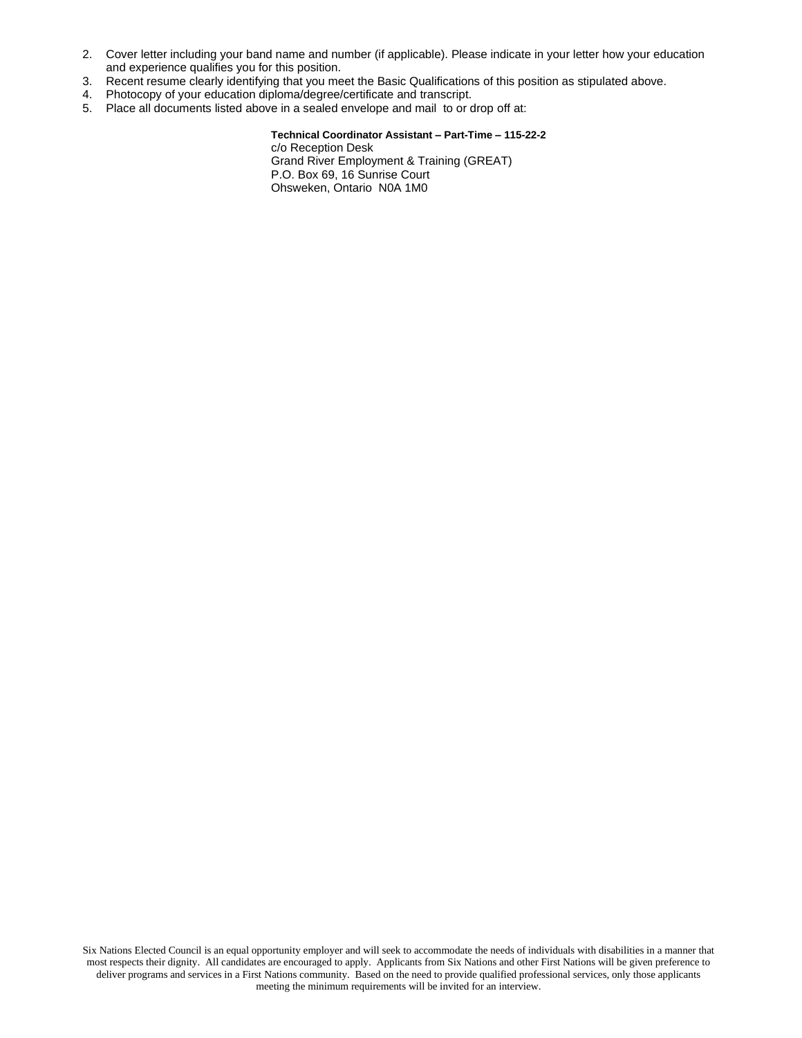- 2. Cover letter including your band name and number (if applicable). Please indicate in your letter how your education and experience qualifies you for this position.
- 3. Recent resume clearly identifying that you meet the Basic Qualifications of this position as stipulated above.
- 4. Photocopy of your education diploma/degree/certificate and transcript.
- 5. Place all documents listed above in a sealed envelope and mail to or drop off at:

**Technical Coordinator Assistant – Part-Time – 115-22-2** c/o Reception Desk Grand River Employment & Training (GREAT) P.O. Box 69, 16 Sunrise Court Ohsweken, Ontario N0A 1M0

Six Nations Elected Council is an equal opportunity employer and will seek to accommodate the needs of individuals with disabilities in a manner that most respects their dignity. All candidates are encouraged to apply. Applicants from Six Nations and other First Nations will be given preference to deliver programs and services in a First Nations community. Based on the need to provide qualified professional services, only those applicants meeting the minimum requirements will be invited for an interview.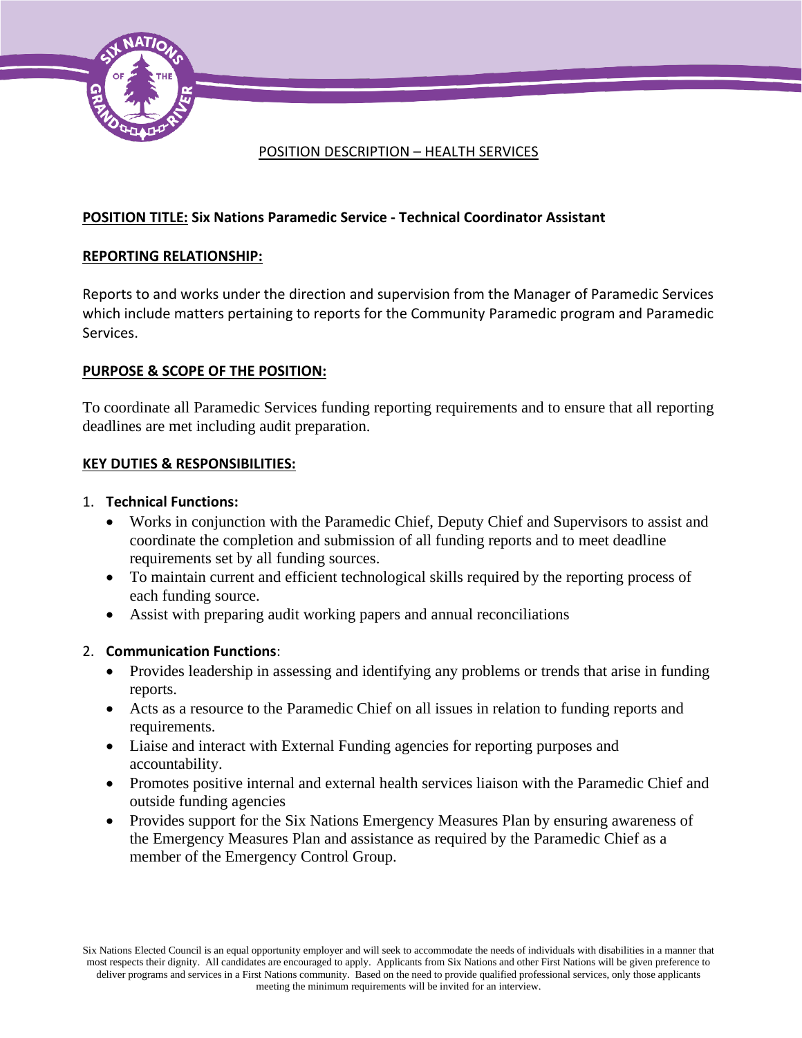

## POSITION DESCRIPTION – HEALTH SERVICES

# **POSITION TITLE: Six Nations Paramedic Service - Technical Coordinator Assistant**

### **REPORTING RELATIONSHIP:**

Reports to and works under the direction and supervision from the Manager of Paramedic Services which include matters pertaining to reports for the Community Paramedic program and Paramedic Services.

## **PURPOSE & SCOPE OF THE POSITION:**

To coordinate all Paramedic Services funding reporting requirements and to ensure that all reporting deadlines are met including audit preparation.

## **KEY DUTIES & RESPONSIBILITIES:**

#### 1. **Technical Functions:**

- Works in conjunction with the Paramedic Chief, Deputy Chief and Supervisors to assist and coordinate the completion and submission of all funding reports and to meet deadline requirements set by all funding sources.
- To maintain current and efficient technological skills required by the reporting process of each funding source.
- Assist with preparing audit working papers and annual reconciliations

#### 2. **Communication Functions**:

- Provides leadership in assessing and identifying any problems or trends that arise in funding reports.
- Acts as a resource to the Paramedic Chief on all issues in relation to funding reports and requirements.
- Liaise and interact with External Funding agencies for reporting purposes and accountability.
- Promotes positive internal and external health services liaison with the Paramedic Chief and outside funding agencies
- Provides support for the Six Nations Emergency Measures Plan by ensuring awareness of the Emergency Measures Plan and assistance as required by the Paramedic Chief as a member of the Emergency Control Group.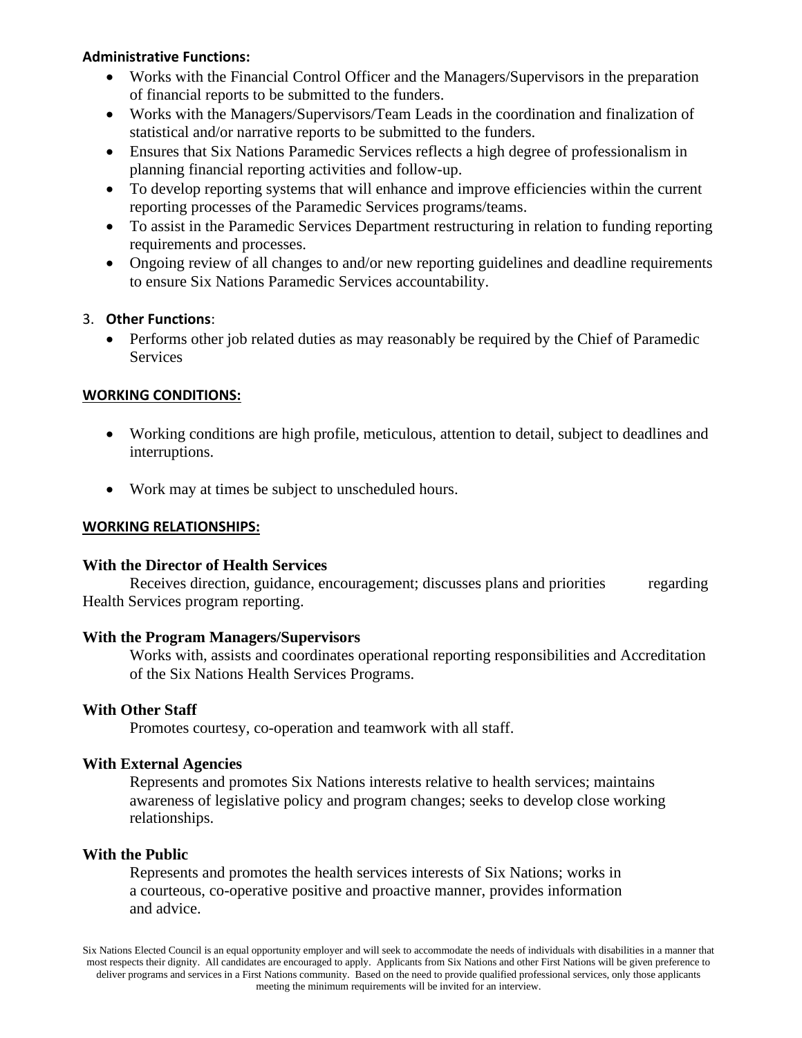### **Administrative Functions:**

- Works with the Financial Control Officer and the Managers/Supervisors in the preparation of financial reports to be submitted to the funders.
- Works with the Managers/Supervisors/Team Leads in the coordination and finalization of statistical and/or narrative reports to be submitted to the funders.
- Ensures that Six Nations Paramedic Services reflects a high degree of professionalism in planning financial reporting activities and follow-up.
- To develop reporting systems that will enhance and improve efficiencies within the current reporting processes of the Paramedic Services programs/teams.
- To assist in the Paramedic Services Department restructuring in relation to funding reporting requirements and processes.
- Ongoing review of all changes to and/or new reporting guidelines and deadline requirements to ensure Six Nations Paramedic Services accountability.

# 3. **Other Functions**:

• Performs other job related duties as may reasonably be required by the Chief of Paramedic **Services** 

# **WORKING CONDITIONS:**

- Working conditions are high profile, meticulous, attention to detail, subject to deadlines and interruptions.
- Work may at times be subject to unscheduled hours.

# **WORKING RELATIONSHIPS:**

# **With the Director of Health Services**

Receives direction, guidance, encouragement; discusses plans and priorities regarding Health Services program reporting.

# **With the Program Managers/Supervisors**

Works with, assists and coordinates operational reporting responsibilities and Accreditation of the Six Nations Health Services Programs.

# **With Other Staff**

Promotes courtesy, co-operation and teamwork with all staff.

# **With External Agencies**

Represents and promotes Six Nations interests relative to health services; maintains awareness of legislative policy and program changes; seeks to develop close working relationships.

# **With the Public**

Represents and promotes the health services interests of Six Nations; works in a courteous, co-operative positive and proactive manner, provides information and advice.

Six Nations Elected Council is an equal opportunity employer and will seek to accommodate the needs of individuals with disabilities in a manner that most respects their dignity. All candidates are encouraged to apply. Applicants from Six Nations and other First Nations will be given preference to deliver programs and services in a First Nations community. Based on the need to provide qualified professional services, only those applicants meeting the minimum requirements will be invited for an interview.